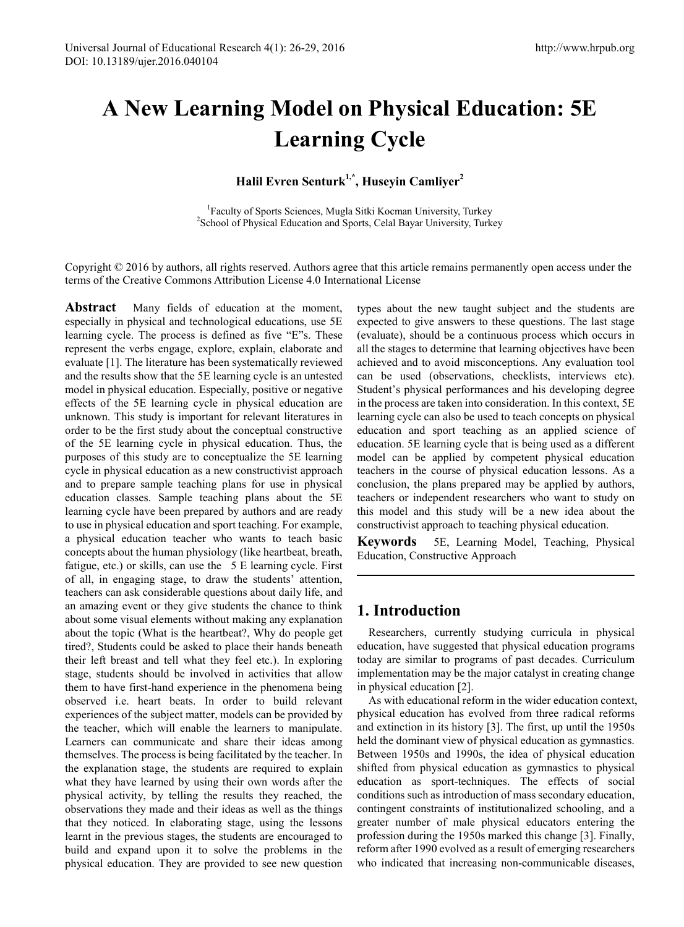# **A New Learning Model on Physical Education: 5E Learning Cycle**

**Halil Evren Senturk1,\*, Huseyin Camliyer2**

<sup>1</sup> Faculty of Sports Sciences, Mugla Sitki Kocman University, Turkey<sup>2</sup> School of Physical Education and Sports, Calal Bayer University, Turkey <sup>2</sup>School of Physical Education and Sports, Celal Bayar University, Turkey

Copyright © 2016 by authors, all rights reserved. Authors agree that this article remains permanently open access under the terms of the Creative Commons Attribution License 4.0 International License

**Abstract** Many fields of education at the moment, especially in physical and technological educations, use 5E learning cycle. The process is defined as five "E"s. These represent the verbs engage, explore, explain, elaborate and evaluate [1]. The literature has been systematically reviewed and the results show that the 5E learning cycle is an untested model in physical education. Especially, positive or negative effects of the 5E learning cycle in physical education are unknown. This study is important for relevant literatures in order to be the first study about the conceptual constructive of the 5E learning cycle in physical education. Thus, the purposes of this study are to conceptualize the 5E learning cycle in physical education as a new constructivist approach and to prepare sample teaching plans for use in physical education classes. Sample teaching plans about the 5E learning cycle have been prepared by authors and are ready to use in physical education and sport teaching. For example, a physical education teacher who wants to teach basic concepts about the human physiology (like heartbeat, breath, fatigue, etc.) or skills, can use the 5 E learning cycle. First of all, in engaging stage, to draw the students' attention, teachers can ask considerable questions about daily life, and an amazing event or they give students the chance to think about some visual elements without making any explanation about the topic (What is the heartbeat?, Why do people get tired?, Students could be asked to place their hands beneath their left breast and tell what they feel etc.). In exploring stage, students should be involved in activities that allow them to have first-hand experience in the phenomena being observed i.e. heart beats. In order to build relevant experiences of the subject matter, models can be provided by the teacher, which will enable the learners to manipulate. Learners can communicate and share their ideas among themselves. The process is being facilitated by the teacher. In the explanation stage, the students are required to explain what they have learned by using their own words after the physical activity, by telling the results they reached, the observations they made and their ideas as well as the things that they noticed. In elaborating stage, using the lessons learnt in the previous stages, the students are encouraged to build and expand upon it to solve the problems in the physical education. They are provided to see new question

types about the new taught subject and the students are expected to give answers to these questions. The last stage (evaluate), should be a continuous process which occurs in all the stages to determine that learning objectives have been achieved and to avoid misconceptions. Any evaluation tool can be used (observations, checklists, interviews etc). Student's physical performances and his developing degree in the process are taken into consideration. In this context, 5E learning cycle can also be used to teach concepts on physical education and sport teaching as an applied science of education. 5E learning cycle that is being used as a different model can be applied by competent physical education teachers in the course of physical education lessons. As a conclusion, the plans prepared may be applied by authors, teachers or independent researchers who want to study on this model and this study will be a new idea about the constructivist approach to teaching physical education.

**Keywords** 5E, Learning Model, Teaching, Physical Education, Constructive Approach

## **1. Introduction**

Researchers, currently studying curricula in physical education, have suggested that physical education programs today are similar to programs of past decades. Curriculum implementation may be the major catalyst in creating change in physical education [2].

As with educational reform in the wider education context, physical education has evolved from three radical reforms and extinction in its history [3]. The first, up until the 1950s held the dominant view of physical education as gymnastics. Between 1950s and 1990s, the idea of physical education shifted from physical education as gymnastics to physical education as sport-techniques. The effects of social conditions such as introduction of mass secondary education, contingent constraints of institutionalized schooling, and a greater number of male physical educators entering the profession during the 1950s marked this change [3]. Finally, reform after 1990 evolved as a result of emerging researchers who indicated that increasing non-communicable diseases,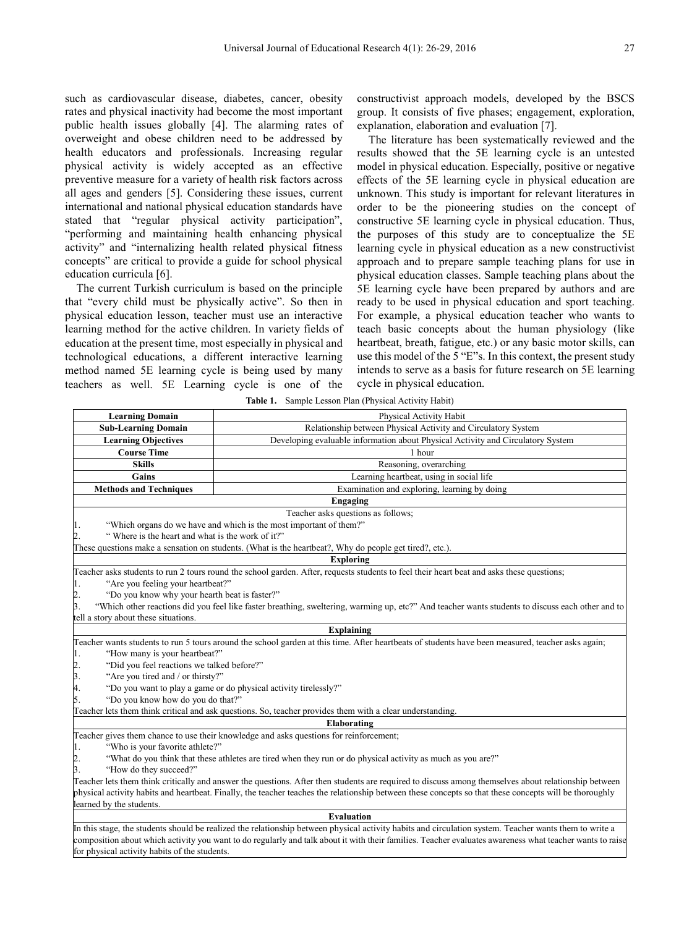such as cardiovascular disease, diabetes, cancer, obesity rates and physical inactivity had become the most important public health issues globally [4]. The alarming rates of overweight and obese children need to be addressed by health educators and professionals. Increasing regular physical activity is widely accepted as an effective preventive measure for a variety of health risk factors across all ages and genders [5]. Considering these issues, current international and national physical education standards have stated that "regular physical activity participation", "performing and maintaining health enhancing physical activity" and "internalizing health related physical fitness concepts" are critical to provide a guide for school physical education curricula [6].

The current Turkish curriculum is based on the principle that "every child must be physically active". So then in physical education lesson, teacher must use an interactive learning method for the active children. In variety fields of education at the present time, most especially in physical and technological educations, a different interactive learning method named 5E learning cycle is being used by many teachers as well. 5E Learning cycle is one of the

for physical activity habits of the students.

constructivist approach models, developed by the BSCS group. It consists of five phases; engagement, exploration, explanation, elaboration and evaluation [7].

The literature has been systematically reviewed and the results showed that the 5E learning cycle is an untested model in physical education. Especially, positive or negative effects of the 5E learning cycle in physical education are unknown. This study is important for relevant literatures in order to be the pioneering studies on the concept of constructive 5E learning cycle in physical education. Thus, the purposes of this study are to conceptualize the 5E learning cycle in physical education as a new constructivist approach and to prepare sample teaching plans for use in physical education classes. Sample teaching plans about the 5E learning cycle have been prepared by authors and are ready to be used in physical education and sport teaching. For example, a physical education teacher who wants to teach basic concepts about the human physiology (like heartbeat, breath, fatigue, etc.) or any basic motor skills, can use this model of the 5 "E"s. In this context, the present study intends to serve as a basis for future research on 5E learning cycle in physical education.

| <b>Learning Domain</b>                                                                                                                                   | Physical Activity Habit                                                         |  |
|----------------------------------------------------------------------------------------------------------------------------------------------------------|---------------------------------------------------------------------------------|--|
| <b>Sub-Learning Domain</b>                                                                                                                               | Relationship between Physical Activity and Circulatory System                   |  |
| <b>Learning Objectives</b>                                                                                                                               | Developing evaluable information about Physical Activity and Circulatory System |  |
| <b>Course Time</b>                                                                                                                                       | 1 hour                                                                          |  |
| <b>Skills</b>                                                                                                                                            | Reasoning, overarching                                                          |  |
| Gains                                                                                                                                                    | Learning heartbeat, using in social life                                        |  |
| <b>Methods and Techniques</b>                                                                                                                            | Examination and exploring, learning by doing                                    |  |
| Engaging                                                                                                                                                 |                                                                                 |  |
| Teacher asks questions as follows;                                                                                                                       |                                                                                 |  |
| "Which organs do we have and which is the most important of them?"<br>1.                                                                                 |                                                                                 |  |
| "Where is the heart and what is the work of it?"<br>$\overline{c}$                                                                                       |                                                                                 |  |
| These questions make a sensation on students. (What is the heartbeat?, Why do people get tired?, etc.).                                                  |                                                                                 |  |
| <b>Exploring</b>                                                                                                                                         |                                                                                 |  |
| Teacher asks students to run 2 tours round the school garden. After, requests students to feel their heart beat and asks these questions;                |                                                                                 |  |
| "Are you feeling your heartbeat?"<br>1.                                                                                                                  |                                                                                 |  |
| "Do you know why your hearth beat is faster?"<br>2.                                                                                                      |                                                                                 |  |
| 3.<br>"Which other reactions did you feel like faster breathing, sweltering, warming up, etc?" And teacher wants students to discuss each other and to   |                                                                                 |  |
| tell a story about these situations.                                                                                                                     |                                                                                 |  |
| <b>Explaining</b>                                                                                                                                        |                                                                                 |  |
| Teacher wants students to run 5 tours around the school garden at this time. After heartbeats of students have been measured, teacher asks again;        |                                                                                 |  |
| "How many is your heartbeat?"<br>1.                                                                                                                      |                                                                                 |  |
| "Did you feel reactions we talked before?"<br>$\overline{2}$ .                                                                                           |                                                                                 |  |
| $\overline{\mathbf{3}}$ .<br>"Are you tired and / or thirsty?"                                                                                           |                                                                                 |  |
| 4.<br>"Do you want to play a game or do physical activity tirelessly?"                                                                                   |                                                                                 |  |
| 5.<br>"Do you know how do you do that?"                                                                                                                  |                                                                                 |  |
| Teacher lets them think critical and ask questions. So, teacher provides them with a clear understanding.                                                |                                                                                 |  |
| <b>Elaborating</b>                                                                                                                                       |                                                                                 |  |
| Teacher gives them chance to use their knowledge and asks questions for reinforcement;                                                                   |                                                                                 |  |
| "Who is your favorite athlete?"<br>1.<br>$\overline{c}$                                                                                                  |                                                                                 |  |
| "What do you think that these athletes are tired when they run or do physical activity as much as you are?"<br>3.<br>"How do they succeed?"              |                                                                                 |  |
| Teacher lets them think critically and answer the questions. After then students are required to discuss among themselves about relationship between     |                                                                                 |  |
| physical activity habits and heartbeat. Finally, the teacher teaches the relationship between these concepts so that these concepts will be thoroughly   |                                                                                 |  |
| learned by the students.                                                                                                                                 |                                                                                 |  |
| <b>Evaluation</b>                                                                                                                                        |                                                                                 |  |
| In this stage, the students should be realized the relationship between physical activity habits and circulation system. Teacher wants them to write a   |                                                                                 |  |
| composition about which activity you want to do regularly and talk about it with their families. Teacher evaluates awareness what teacher wants to raise |                                                                                 |  |

**Table 1.** Sample Lesson Plan (Physical Activity Habit)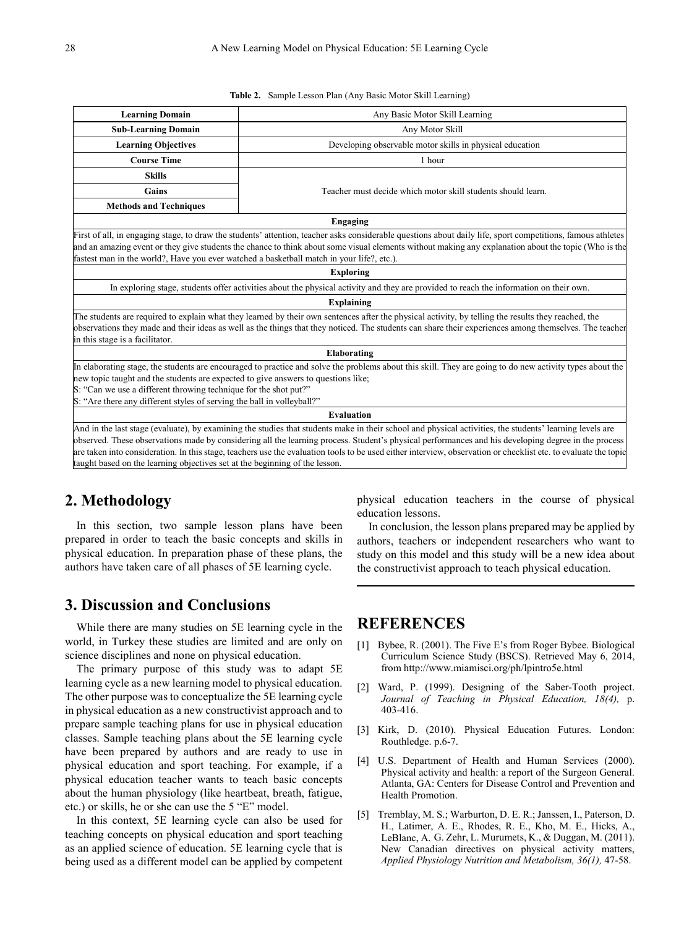**Table 2.** Sample Lesson Plan (Any Basic Motor Skill Learning)

| <b>Learning Domain</b>                                                                                                                                                                                                                                                                                                                                                                                                                                                                                                                                            | Any Basic Motor Skill Learning                               |  |
|-------------------------------------------------------------------------------------------------------------------------------------------------------------------------------------------------------------------------------------------------------------------------------------------------------------------------------------------------------------------------------------------------------------------------------------------------------------------------------------------------------------------------------------------------------------------|--------------------------------------------------------------|--|
| <b>Sub-Learning Domain</b>                                                                                                                                                                                                                                                                                                                                                                                                                                                                                                                                        | Any Motor Skill                                              |  |
| <b>Learning Objectives</b>                                                                                                                                                                                                                                                                                                                                                                                                                                                                                                                                        | Developing observable motor skills in physical education     |  |
| <b>Course Time</b>                                                                                                                                                                                                                                                                                                                                                                                                                                                                                                                                                | 1 hour                                                       |  |
| <b>Skills</b>                                                                                                                                                                                                                                                                                                                                                                                                                                                                                                                                                     |                                                              |  |
| Gains                                                                                                                                                                                                                                                                                                                                                                                                                                                                                                                                                             | Teacher must decide which motor skill students should learn. |  |
| <b>Methods and Techniques</b>                                                                                                                                                                                                                                                                                                                                                                                                                                                                                                                                     |                                                              |  |
| <b>Engaging</b>                                                                                                                                                                                                                                                                                                                                                                                                                                                                                                                                                   |                                                              |  |
| First of all, in engaging stage, to draw the students' attention, teacher asks considerable questions about daily life, sport competitions, famous athletes<br>and an amazing event or they give students the chance to think about some visual elements without making any explanation about the topic (Who is the<br>fastest man in the world?, Have you ever watched a basketball match in your life?, etc.).                                                                                                                                                  |                                                              |  |
| <b>Exploring</b>                                                                                                                                                                                                                                                                                                                                                                                                                                                                                                                                                  |                                                              |  |
| In exploring stage, students offer activities about the physical activity and they are provided to reach the information on their own.                                                                                                                                                                                                                                                                                                                                                                                                                            |                                                              |  |
| <b>Explaining</b>                                                                                                                                                                                                                                                                                                                                                                                                                                                                                                                                                 |                                                              |  |
| The students are required to explain what they learned by their own sentences after the physical activity, by telling the results they reached, the<br>observations they made and their ideas as well as the things that they noticed. The students can share their experiences among themselves. The teacher<br>in this stage is a facilitator.                                                                                                                                                                                                                  |                                                              |  |
| Elaborating                                                                                                                                                                                                                                                                                                                                                                                                                                                                                                                                                       |                                                              |  |
| In elaborating stage, the students are encouraged to practice and solve the problems about this skill. They are going to do new activity types about the<br>new topic taught and the students are expected to give answers to questions like;<br>S: "Can we use a different throwing technique for the shot put?"<br>S: "Are there any different styles of serving the ball in volleyball?"                                                                                                                                                                       |                                                              |  |
| <b>Evaluation</b>                                                                                                                                                                                                                                                                                                                                                                                                                                                                                                                                                 |                                                              |  |
| And in the last stage (evaluate), by examining the studies that students make in their school and physical activities, the students' learning levels are<br>observed. These observations made by considering all the learning process. Student's physical performances and his developing degree in the process<br>are taken into consideration. In this stage, teachers use the evaluation tools to be used either interview, observation or checklist etc. to evaluate the topic<br>taught based on the learning objectives set at the beginning of the lesson. |                                                              |  |

# **2. Methodology**

In this section, two sample lesson plans have been prepared in order to teach the basic concepts and skills in physical education. In preparation phase of these plans, the authors have taken care of all phases of 5E learning cycle.

#### **3. Discussion and Conclusions**

While there are many studies on 5E learning cycle in the world, in Turkey these studies are limited and are only on science disciplines and none on physical education.

The primary purpose of this study was to adapt 5E learning cycle as a new learning model to physical education. The other purpose was to conceptualize the 5E learning cycle in physical education as a new constructivist approach and to prepare sample teaching plans for use in physical education classes. Sample teaching plans about the 5E learning cycle have been prepared by authors and are ready to use in physical education and sport teaching. For example, if a physical education teacher wants to teach basic concepts about the human physiology (like heartbeat, breath, fatigue, etc.) or skills, he or she can use the 5 "E" model.

In this context, 5E learning cycle can also be used for teaching concepts on physical education and sport teaching as an applied science of education. 5E learning cycle that is being used as a different model can be applied by competent

physical education teachers in the course of physical education lessons.

In conclusion, the lesson plans prepared may be applied by authors, teachers or independent researchers who want to study on this model and this study will be a new idea about the constructivist approach to teach physical education.

## **REFERENCES**

- [1] Bybee, R. (2001). The Five E's from Roger Bybee. Biological Curriculum Science Study (BSCS). Retrieved May 6, 2014, from http://www.miamisci.org/ph/lpintro5e.html
- [2] Ward, P. (1999). Designing of the Saber-Tooth project. *Journal of Teaching in Physical Education, 18(4),* p. 403-416.
- [3] Kirk, D. (2010). Physical Education Futures. London: Routhledge. p.6-7.
- [4] U.S. Department of Health and Human Services (2000). Physical activity and health: a report of the Surgeon General. Atlanta, GA: Centers for Disease Control and Prevention and Health Promotion.
- [5] Tremblay, M. S.; Warburton, D. E. R.; Janssen, I., Paterson, D. H., Latimer, A. E., Rhodes, R. E., Kho, M. E., Hicks, A., LeBlanc, A. G. Zehr, L. Murumets, K., & Duggan, M. (2011). New Canadian directives on physical activity matters, *Applied Physiology Nutrition and Metabolism, 36(1),* 47-58.